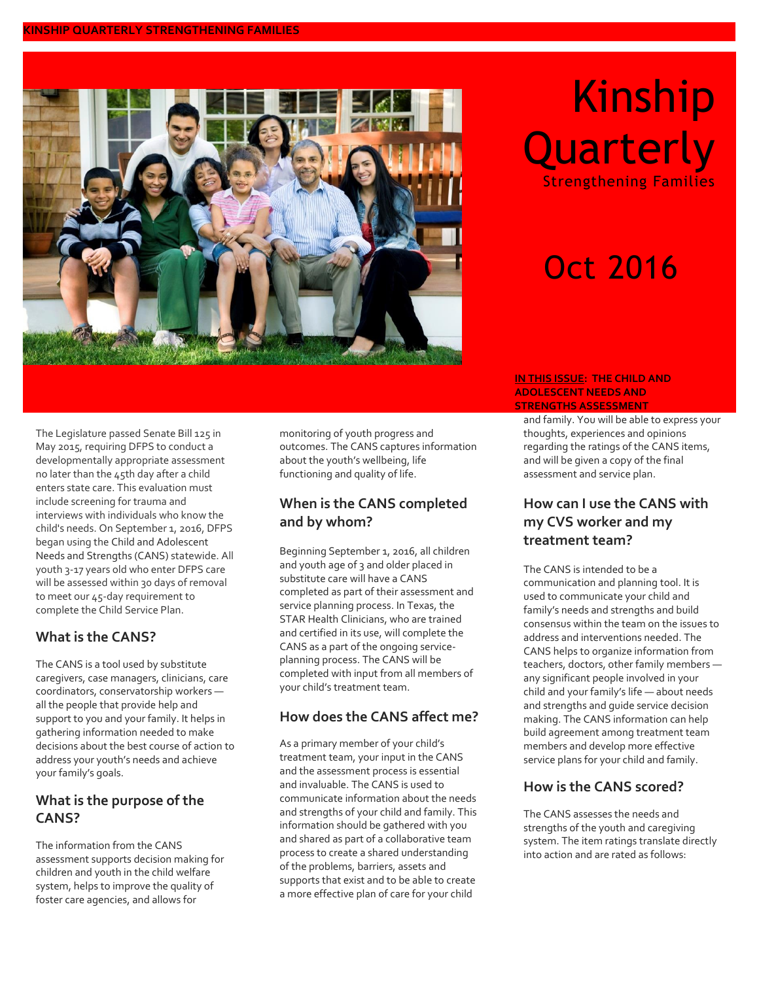

# Kinship **Quarterly**

Strengthening Families

# Oct 2016

#### **IN THIS ISSUE: THE CHILD AND ADOLESCENT NEEDS AND STRENGTHS ASSESSMENT**

and family. You will be able to express your thoughts, experiences and opinions regarding the ratings of the CANS items, and will be given a copy of the final assessment and service plan.

# **How can I use the CANS with my CVS worker and my treatment team?**

The CANS is intended to be a communication and planning tool. It is used to communicate your child and family's needs and strengths and build consensus within the team on the issues to address and interventions needed. The CANS helps to organize information from teachers, doctors, other family members any significant people involved in your child and your family's life — about needs and strengths and guide service decision making. The CANS information can help build agreement among treatment team members and develop more effective service plans for your child and family.

### **How is the CANS scored?**

The CANS assesses the needs and strengths of the youth and caregiving system. The item ratings translate directly into action and are rated as follows:

The Legislature passed Senate Bill 125 in May 2015, requiring DFPS to conduct a developmentally appropriate assessment no later than the 45th day after a child enters state care. This evaluation must include screening for trauma and interviews with individuals who know the child's needs. On September 1, 2016, DFPS began using the Child and Adolescent Needs and Strengths (CANS) statewide. All youth 3-17 years old who enter DFPS care will be assessed within 30 days of removal to meet our 45-day requirement to complete the Child Service Plan.

### **What is the CANS?**

The CANS is a tool used by substitute caregivers, case managers, clinicians, care coordinators, conservatorship workers all the people that provide help and support to you and your family. It helps in gathering information needed to make decisions about the best course of action to address your youth's needs and achieve your family's goals.

# **What is the purpose of the CANS?**

The information from the CANS assessment supports decision making for children and youth in the child welfare system, helps to improve the quality of foster care agencies, and allows for

monitoring of youth progress and outcomes. The CANS captures information about the youth's wellbeing, life functioning and quality of life.

# **When is the CANS completed and by whom?**

Beginning September 1, 2016, all children and youth age of 3 and older placed in substitute care will have a CANS completed as part of their assessment and service planning process. In Texas, the STAR Health Clinicians, who are trained and certified in its use, will complete the CANS as a part of the ongoing serviceplanning process. The CANS will be completed with input from all members of your child's treatment team.

# **How does the CANS affect me?**

As a primary member of your child's treatment team, your input in the CANS and the assessment process is essential and invaluable. The CANS is used to communicate information about the needs and strengths of your child and family. This information should be gathered with you and shared as part of a collaborative team process to create a shared understanding of the problems, barriers, assets and supports that exist and to be able to create a more effective plan of care for your child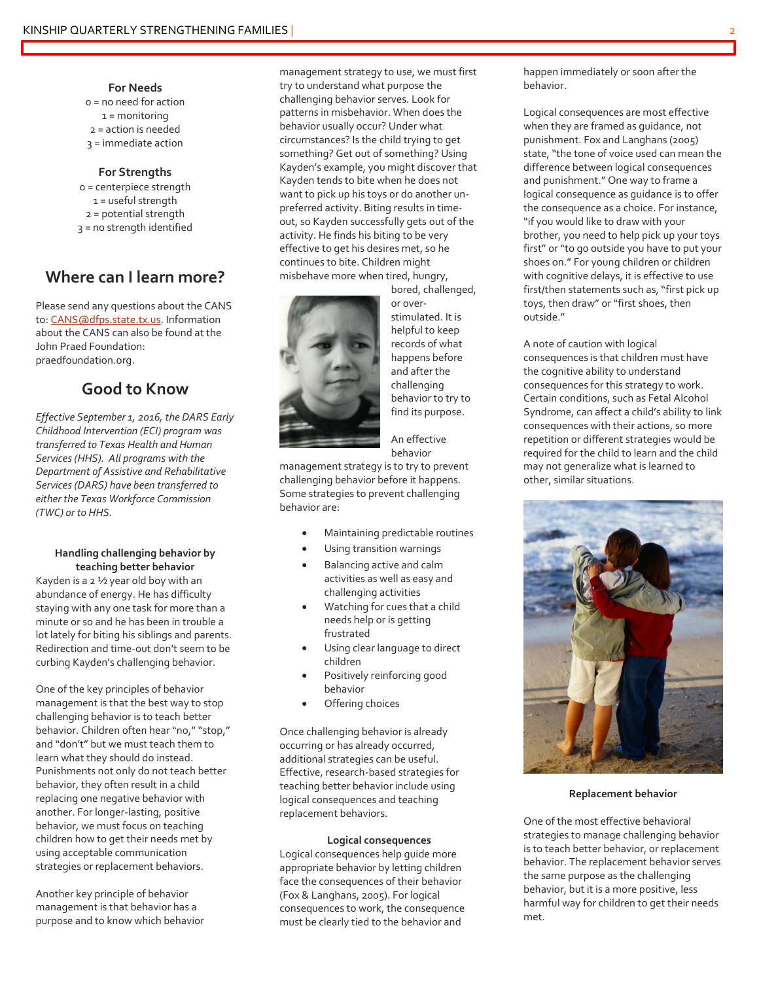#### **For Needs**

0 = no need for action 1 = monitoring 2 = action is needed 3 = immediate action

#### **For Strengths**

0 = centerpiece strength 1 = useful strength 2 = potential strength 3 = no strength identified

# **Where can I learn more?**

Please send any questions about the CANS to[: CANS@dfps.state.tx.us.](mailto:CANS@dfps.state.tx.us) Information about the CANS can also be found at the John Praed Foundation: praedfoundation.org.

### **Good to Know**

*Effective September 1, 2016, the DARS Early Childhood Intervention (ECI) program was transferred to Texas Health and Human Services (HHS). All programs with the Department of Assistive and Rehabilitative Services (DARS) have been transferred to either the Texas Workforce Commission (TWC) or to HHS.*

#### **Handling challenging behavior by teaching better behavior**

Kayden is a 2 ½ year old boy with an abundance of energy. He has difficulty staying with any one task for more than a minute or so and he has been in trouble a lot lately for biting his siblings and parents. Redirection and time-out don't seem to be curbing Kayden's challenging behavior.

One of the key principles of behavior management is that the best way to stop challenging behavior is to teach better behavior. Children often hear "no," "stop," and "don't" but we must teach them to learn what they should do instead. Punishments not only do not teach better behavior, they often result in a child replacing one negative behavior with another. For longer-lasting, positive behavior, we must focus on teaching children how to get their needs met by using acceptable communication strategies or replacement behaviors.

Another key principle of behavior management is that behavior has a purpose and to know which behavior management strategy to use, we must first try to understand what purpose the challenging behavior serves. Look for patterns in misbehavior. When does the behavior usually occur? Under what circumstances? Is the child trying to get something? Get out of something? Using Kayden's example, you might discover that Kayden tends to bite when he does not want to pick up his toys or do another unpreferred activity. Biting results in timeout, so Kayden successfully gets out of the activity. He finds his biting to be very effective to get his desires met, so he continues to bite. Children might misbehave more when tired, hungry,



bored, challenged, or overstimulated. It is helpful to keep records of what happens before and after the challenging behavior to try to find its purpose.

An effective behavior

management strategy is to try to prevent challenging behavior before it happens. Some strategies to prevent challenging behavior are:

- Maintaining predictable routines
- Using transition warnings
- Balancing active and calm activities as well as easy and challenging activities
- Watching for cues that a child needs help or is getting frustrated
- Using clear language to direct children
- Positively reinforcing good behavior
- Offering choices

Once challenging behavior is already occurring or has already occurred, additional strategies can be useful. Effective, research-based strategies for teaching better behavior include using logical consequences and teaching replacement behaviors.

#### **Logical consequences**

Logical consequences help guide more appropriate behavior by letting children face the consequences of their behavior (Fox & Langhans, 2005). For logical consequences to work, the consequence must be clearly tied to the behavior and

happen immediately or soon after the behavior.

Logical consequences are most effective when they are framed as guidance, not punishment. Fox and Langhans (2005) state, "the tone of voice used can mean the difference between logical consequences and punishment." One way to frame a logical consequence as guidance is to offer the consequence as a choice. For instance, "if you would like to draw with your brother, you need to help pick up your toys first" or "to go outside you have to put your shoes on." For young children or children with cognitive delays, it is effective to use first/then statements such as, "first pick up toys, then draw" or "first shoes, then outside."

A note of caution with logical consequences is that children must have the cognitive ability to understand consequences for this strategy to work. Certain conditions, such as Fetal Alcohol Syndrome, can affect a child's ability to link consequences with their actions, so more repetition or different strategies would be required for the child to learn and the child may not generalize what is learned to other, similar situations.



#### **Replacement behavior**

One of the most effective behavioral strategies to manage challenging behavior is to teach better behavior, or replacement behavior. The replacement behavior serves the same purpose as the challenging behavior, but it is a more positive, less harmful way for children to get their needs met.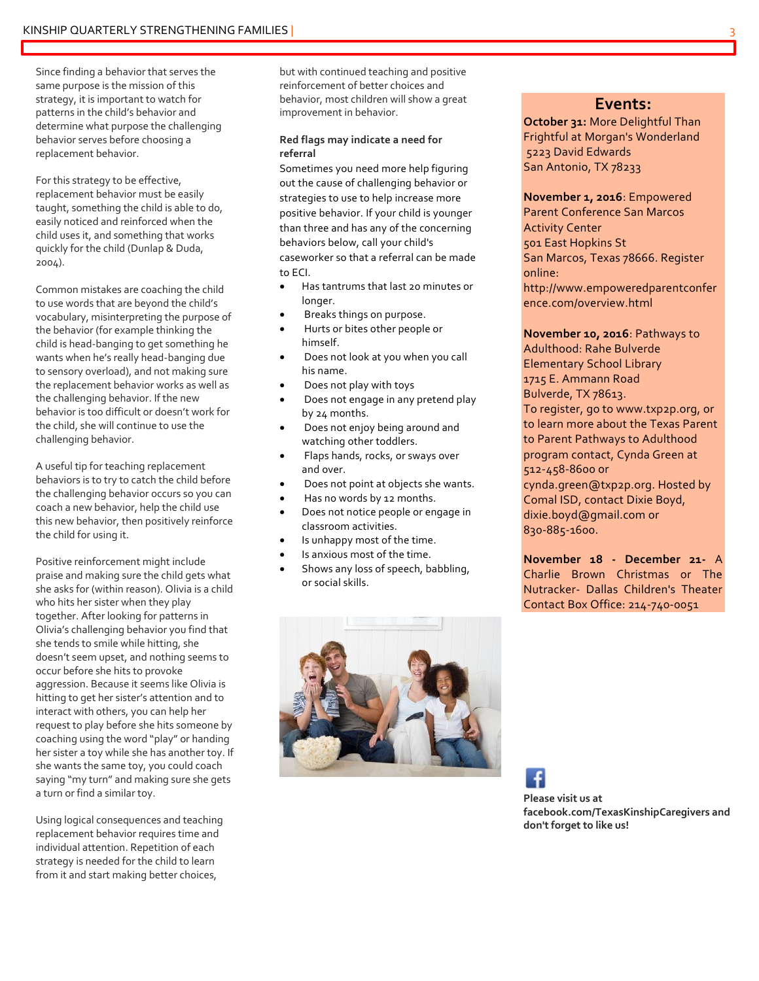Since finding a behavior that serves the same purpose is the mission of this strategy, it is important to watch for patterns in the child's behavior and determine what purpose the challenging behavior serves before choosing a replacement behavior.

For this strategy to be effective, replacement behavior must be easily taught, something the child is able to do, easily noticed and reinforced when the child uses it, and something that works quickly for the child (Dunlap & Duda, 2004).

Common mistakes are coaching the child to use words that are beyond the child's vocabulary, misinterpreting the purpose of the behavior (for example thinking the child is head-banging to get something he wants when he's really head-banging due to sensory overload), and not making sure the replacement behavior works as well as the challenging behavior. If the new behavior is too difficult or doesn't work for the child, she will continue to use the challenging behavior.

A useful tip for teaching replacement behaviors is to try to catch the child before the challenging behavior occurs so you can coach a new behavior, help the child use this new behavior, then positively reinforce the child for using it.

Positive reinforcement might include praise and making sure the child gets what she asks for (within reason). Olivia is a child who hits her sister when they play together. After looking for patterns in Olivia's challenging behavior you find that she tends to smile while hitting, she doesn't seem upset, and nothing seems to occur before she hits to provoke aggression. Because it seems like Olivia is hitting to get her sister's attention and to interact with others, you can help her request to play before she hits someone by coaching using the word "play" or handing her sister a toy while she has another toy. If she wants the same toy, you could coach saying "my turn" and making sure she gets a turn or find a similar toy.

Using logical consequences and teaching replacement behavior requires time and individual attention. Repetition of each strategy is needed for the child to learn from it and start making better choices,

but with continued teaching and positive reinforcement of better choices and behavior, most children will show a great improvement in behavior.

#### **Red flags may indicate a need for referral**

Sometimes you need more help figuring out the cause of challenging behavior or strategies to use to help increase more positive behavior. If your child is younger than three and has any of the concerning behaviors below, call your child's caseworker so that a referral can be made to ECI.

- Has tantrums that last 20 minutes or longer.
- Breaks things on purpose.
- Hurts or bites other people or himself.
- Does not look at you when you call his name.
- Does not play with toys
- Does not engage in any pretend play by 24 months.
- Does not enjoy being around and watching other toddlers.
- Flaps hands, rocks, or sways over and over.
- Does not point at objects she wants.
- Has no words by 12 months.
- Does not notice people or engage in classroom activities.
- Is unhappy most of the time.
- Is anxious most of the time.
- Shows any loss of speech, babbling, or social skills.

**Events:**

**October 31:** More Delightful Than Frightful at Morgan's Wonderland 5223 David Edwards San Antonio, TX 78233

**November 1, 2016**: Empowered Parent Conference San Marcos Activity Center 501 East Hopkins St San Marcos, Texas 78666. Register online: http://www.empoweredparentconfer ence.com/overview.html

**November 10, 2016**: Pathways to Adulthood: Rahe Bulverde Elementary School Library 1715 E. Ammann Road Bulverde, TX 78613. To register, go to www.txp2p.org, or to learn more about the Texas Parent to Parent Pathways to Adulthood program contact, Cynda Green at 512-458-8600 or cynda.green@txp2p.org. Hosted by Comal ISD, contact Dixie Boyd, dixie.boyd@gmail.com or 830-885-1600.

**November 18 - December 21-** A Charlie Brown Christmas or The Nutracker- Dallas Children's Theater Contact Box Office: 214-740-0051



**Please visit us at facebook.com/TexasKinshipCaregivers and don't forget to like us!**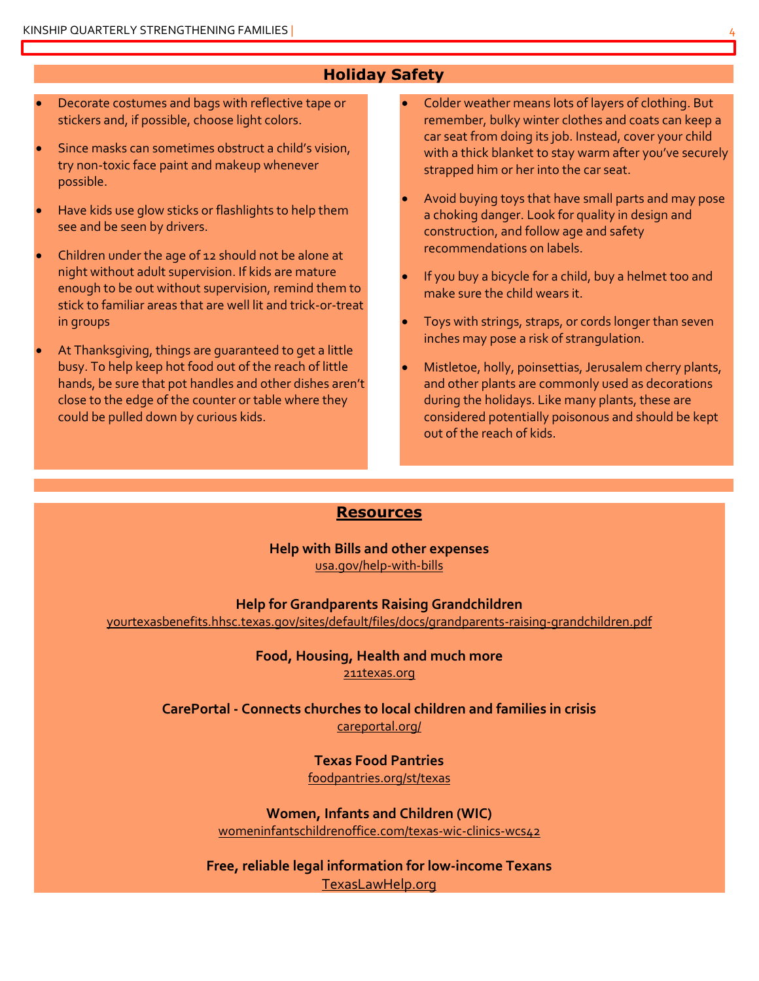#### **Holiday Safety**

- Decorate costumes and bags with reflective tape or stickers and, if possible, choose light colors.
- Since masks can sometimes obstruct a child's vision, try non-toxic face paint and makeup whenever possible.
- Have kids use glow sticks or flashlights to help them see and be seen by drivers.
- Children under the age of 12 should not be alone at night without adult supervision. If kids are mature enough to be out without supervision, remind them to stick to familiar areas that are well lit and trick-or-treat in groups
- At Thanksgiving, things are guaranteed to get a little busy. To help keep hot food out of the reach of little hands, be sure that pot handles and other dishes aren't close to the edge of the counter or table where they could be pulled down by curious kids.
- Colder weather means lots of layers of clothing. But remember, bulky winter clothes and coats can keep a car seat from doing its job. Instead, cover your child with a thick blanket to stay warm after you've securely strapped him or her into the car seat.
- Avoid buying toys that have small parts and may pose a choking danger. Look for quality in design and construction, and follow age and safety recommendations on labels.
- If you buy a bicycle for a child, buy a helmet too and make sure the child wears it.
- Toys with strings, straps, or cords longer than seven inches may pose a risk of strangulation.
- Mistletoe, holly, poinsettias, Jerusalem cherry plants, and other plants are commonly used as decorations during the holidays. Like many plants, these are considered potentially poisonous and should be kept out of the reach of kids.

#### **Resources**

**Help with Bills and other expenses** [usa.gov/help-with-bills](http://www.usa.gov/help-with-bills)

**Help for Grandparents Raising Grandchildren**

[yourtexasbenefits.hhsc.texas.gov/sites/default/files/docs/grandparents-raising-grandchildren.pdf](https://yourtexasbenefits.hhsc.texas.gov/sites/default/files/docs/grandparents-raising-grandchildren.pdf)

#### **Food, Housing, Health and much more** [211texas.org](http://www.211texas.org/)

**CarePortal - Connects churches to local children and families in crisis** [careportal.org/](https://careportal.org/)

> **Texas Food Pantries** [foodpantries.org/st/texas](http://www.foodpantries.org/st/texas)

**Women, Infants and Children (WIC)** [womeninfantschildrenoffice.com/texas-wic-clinics-wcs42](http://www.womeninfantschildrenoffice.com/texas-wic-clinics-wcs42)

**Free, reliable legal information for low-income Texans** [TexasLawHelp.org](http://www.texaslawhelp.org/)